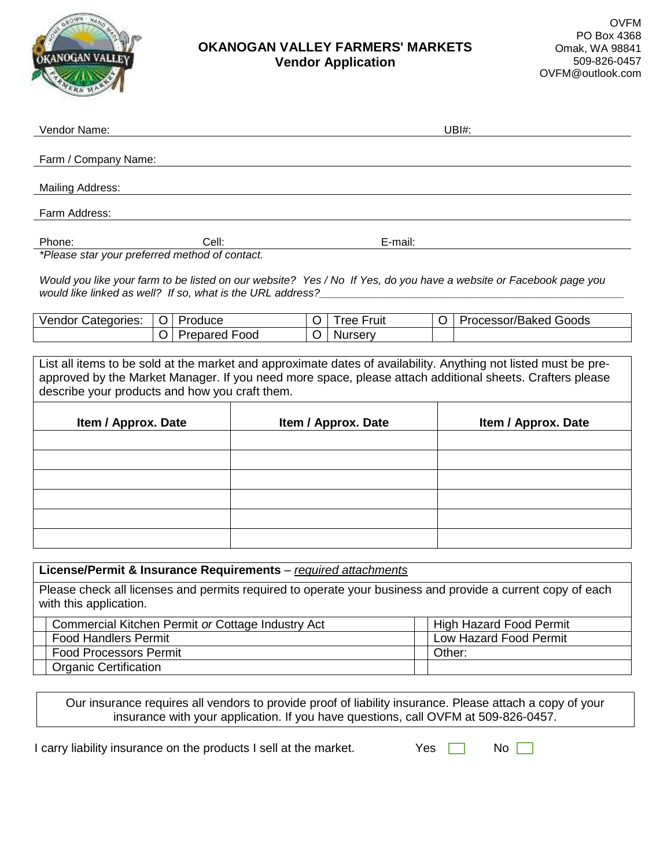

## **OKANOGAN VALLEY FARMERS' MARKETS Vendor Application**

| Vendor Name:                                                                                                                                                                                                                                                                  |                                 | UBH: |                     |         |                   |         |                       |  |  |
|-------------------------------------------------------------------------------------------------------------------------------------------------------------------------------------------------------------------------------------------------------------------------------|---------------------------------|------|---------------------|---------|-------------------|---------|-----------------------|--|--|
| Farm / Company Name:                                                                                                                                                                                                                                                          |                                 |      |                     |         |                   |         |                       |  |  |
| Mailing Address:                                                                                                                                                                                                                                                              |                                 |      |                     |         |                   |         |                       |  |  |
| Farm Address:                                                                                                                                                                                                                                                                 |                                 |      |                     |         |                   |         |                       |  |  |
| Phone:                                                                                                                                                                                                                                                                        | Cell:                           |      |                     | E-mail: |                   |         |                       |  |  |
| *Please star your preferred method of contact.                                                                                                                                                                                                                                |                                 |      |                     |         |                   |         |                       |  |  |
| Would you like your farm to be listed on our website? Yes / No If Yes, do you have a website or Facebook page you<br>would like linked as well? If so, what is the URL address?                                                                                               |                                 |      |                     |         |                   |         |                       |  |  |
| Vendor Categories:                                                                                                                                                                                                                                                            | O<br>Produce                    |      |                     | O       | <b>Tree Fruit</b> | $\circ$ | Processor/Baked Goods |  |  |
|                                                                                                                                                                                                                                                                               | <b>Prepared Food</b><br>$\circ$ |      |                     | O       | <b>Nursery</b>    |         |                       |  |  |
| List all items to be sold at the market and approximate dates of availability. Anything not listed must be pre-<br>approved by the Market Manager. If you need more space, please attach additional sheets. Crafters please<br>describe your products and how you craft them. |                                 |      |                     |         |                   |         |                       |  |  |
| Item / Approx. Date                                                                                                                                                                                                                                                           |                                 |      | Item / Approx. Date |         |                   |         | Item / Approx. Date   |  |  |
|                                                                                                                                                                                                                                                                               |                                 |      |                     |         |                   |         |                       |  |  |
|                                                                                                                                                                                                                                                                               |                                 |      |                     |         |                   |         |                       |  |  |
|                                                                                                                                                                                                                                                                               |                                 |      |                     |         |                   |         |                       |  |  |
|                                                                                                                                                                                                                                                                               |                                 |      |                     |         |                   |         |                       |  |  |
|                                                                                                                                                                                                                                                                               |                                 |      |                     |         |                   |         |                       |  |  |
|                                                                                                                                                                                                                                                                               |                                 |      |                     |         |                   |         |                       |  |  |
|                                                                                                                                                                                                                                                                               |                                 |      |                     |         |                   |         |                       |  |  |

| License/Permit & Insurance Requirements - required attachments                                                                       |                         |  |  |  |  |  |  |
|--------------------------------------------------------------------------------------------------------------------------------------|-------------------------|--|--|--|--|--|--|
| Please check all licenses and permits required to operate your business and provide a current copy of each<br>with this application. |                         |  |  |  |  |  |  |
| Commercial Kitchen Permit or Cottage Industry Act                                                                                    | High Hazard Food Permit |  |  |  |  |  |  |
| <b>Food Handlers Permit</b>                                                                                                          | Low Hazard Food Permit  |  |  |  |  |  |  |
| <b>Food Processors Permit</b>                                                                                                        | Other:                  |  |  |  |  |  |  |
| <b>Organic Certification</b>                                                                                                         |                         |  |  |  |  |  |  |

Our insurance requires all vendors to provide proof of liability insurance. Please attach a copy of your insurance with your application. If you have questions, call OVFM at 509-826-0457.

I carry liability insurance on the products I sell at the market.

| Yes | N٥ |  |
|-----|----|--|
|     |    |  |